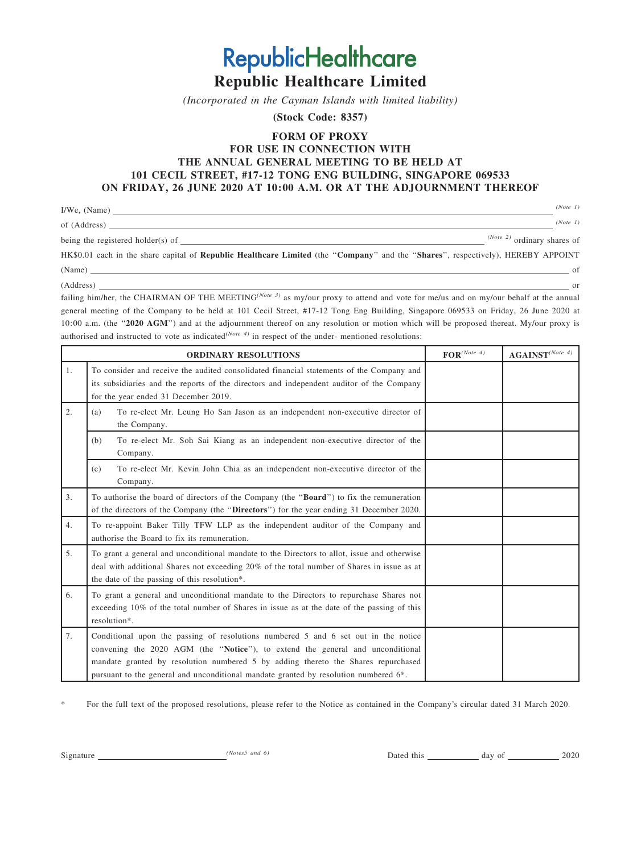Republic Healthcare Limited (Incorporated in the Cayman Islands with limited liability)

**RepublicHealthcare** 

(Stock Code: 8357)

## FORM OF PROXY

# FOR USE IN CONNECTION WITH THE ANNUAL GENERAL MEETING TO BE HELD AT 101 CECIL STREET, #17-12 TONG ENG BUILDING, SINGAPORE 069533 ON FRIDAY, 26 JUNE 2020 AT 10:00 A.M. OR AT THE ADJOURNMENT THEREOF

| I/We, (Name)                      | (Note 1)                      |
|-----------------------------------|-------------------------------|
| of (Address)                      | (Note 1)                      |
| being the registered holder(s) of | $(Note 2)$ ordinary shares of |

HK\$0.01 each in the share capital of Republic Healthcare Limited (the ''Company'' and the ''Shares'', respectively), HEREBY APPOINT  $(Name)$  of  $\overline{\phantom{a}}$  of  $\overline{\phantom{a}}$ 

(Address) or

failing him/her, the CHAIRMAN OF THE MEETING<sup>(Note 3)</sup> as my/our proxy to attend and vote for me/us and on my/our behalf at the annual general meeting of the Company to be held at 101 Cecil Street, #17-12 Tong Eng Building, Singapore 069533 on Friday, 26 June 2020 at 10:00 a.m. (the "2020 AGM") and at the adjournment thereof on any resolution or motion which will be proposed thereat. My/our proxy is authorised and instructed to vote as indicated<sup>(Note 4)</sup> in respect of the under- mentioned resolutions:

|                | <b>ORDINARY RESOLUTIONS</b>                                                                                                                                                                                                                                                                                                                                    | $\mathbf{FOR}^{(Note~4)}$ | $\textbf{AGAINST}^{(Note~4)}$ |
|----------------|----------------------------------------------------------------------------------------------------------------------------------------------------------------------------------------------------------------------------------------------------------------------------------------------------------------------------------------------------------------|---------------------------|-------------------------------|
| $\mathbf{1}$ . | To consider and receive the audited consolidated financial statements of the Company and<br>its subsidiaries and the reports of the directors and independent auditor of the Company<br>for the year ended 31 December 2019.                                                                                                                                   |                           |                               |
| 2.             | To re-elect Mr. Leung Ho San Jason as an independent non-executive director of<br>(a)<br>the Company.                                                                                                                                                                                                                                                          |                           |                               |
|                | To re-elect Mr. Soh Sai Kiang as an independent non-executive director of the<br>(b)<br>Company.                                                                                                                                                                                                                                                               |                           |                               |
|                | To re-elect Mr. Kevin John Chia as an independent non-executive director of the<br>(c)<br>Company.                                                                                                                                                                                                                                                             |                           |                               |
| 3 <sub>1</sub> | To authorise the board of directors of the Company (the "Board") to fix the remuneration<br>of the directors of the Company (the "Directors") for the year ending 31 December 2020.                                                                                                                                                                            |                           |                               |
| 4.             | To re-appoint Baker Tilly TFW LLP as the independent auditor of the Company and<br>authorise the Board to fix its remuneration.                                                                                                                                                                                                                                |                           |                               |
| 5.             | To grant a general and unconditional mandate to the Directors to allot, issue and otherwise<br>deal with additional Shares not exceeding 20% of the total number of Shares in issue as at<br>the date of the passing of this resolution*.                                                                                                                      |                           |                               |
| 6.             | To grant a general and unconditional mandate to the Directors to repurchase Shares not<br>exceeding 10% of the total number of Shares in issue as at the date of the passing of this<br>resolution*.                                                                                                                                                           |                           |                               |
| 7.             | Conditional upon the passing of resolutions numbered 5 and 6 set out in the notice<br>convening the 2020 AGM (the "Notice"), to extend the general and unconditional<br>mandate granted by resolution numbered 5 by adding thereto the Shares repurchased<br>pursuant to the general and unconditional mandate granted by resolution numbered 6 <sup>*</sup> . |                           |                               |

\* For the full text of the proposed resolutions, please refer to the Notice as contained in the Company's circular dated 31 March 2020.

Signature *(Notes5 and 6)* Dated this and 2020 Dated this 2020